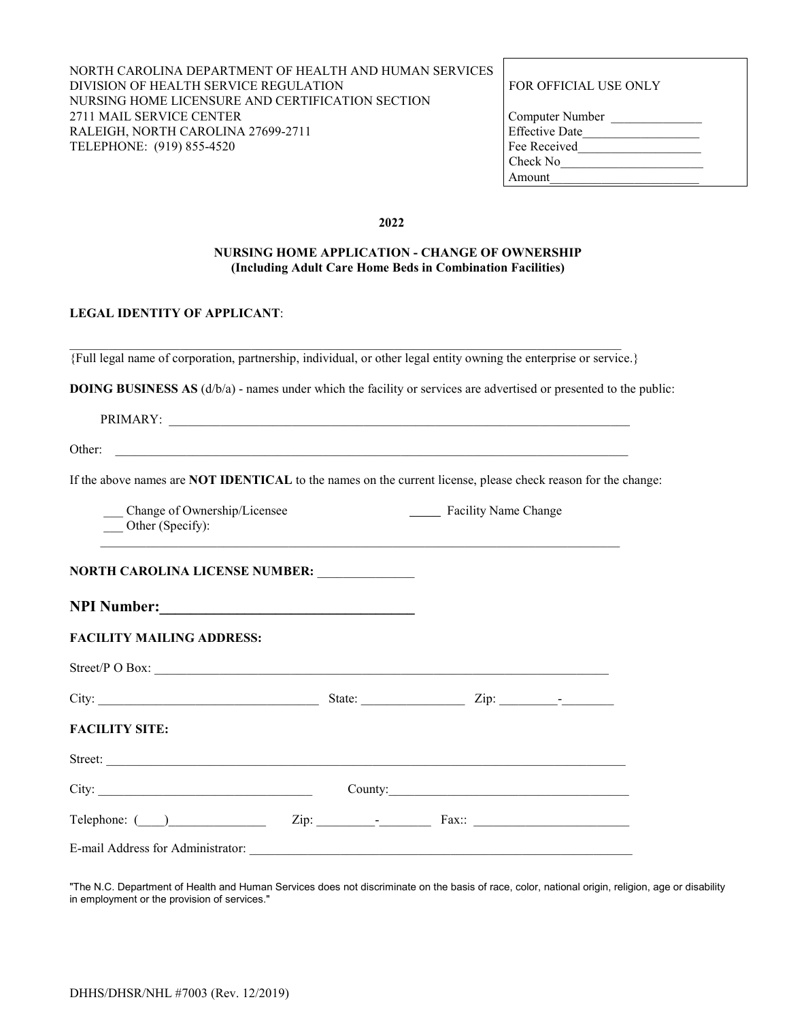### NORTH CAROLINA DEPARTMENT OF HEALTH AND HUMAN SERVICES DIVISION OF HEALTH SERVICE REGULATION FOR OFFICIAL USE ONLY NURSING HOME LICENSURE AND CERTIFICATION SECTION 2711 MAIL SERVICE CENTER RALEIGH, NORTH CAROLINA 27699-2711 TELEPHONE: (919) 855-4520

| Computer Number       |  |
|-----------------------|--|
| <b>Effective Date</b> |  |
| Fee Received          |  |
| Check No              |  |
| Amount                |  |

**2022**

#### **NURSING HOME APPLICATION - CHANGE OF OWNERSHIP (Including Adult Care Home Beds in Combination Facilities)**

### **LEGAL IDENTITY OF APPLICANT**:

| {Full legal name of corporation, partnership, individual, or other legal entity owning the enterprise or service.} |
|--------------------------------------------------------------------------------------------------------------------|

**DOING BUSINESS AS** (d/b/a) - names under which the facility or services are advertised or presented to the public:

| PRIMARY:<br>AKY. |  |
|------------------|--|
|                  |  |

Other: \_\_\_\_\_\_\_\_\_\_\_\_\_\_\_\_\_\_\_\_\_\_\_\_\_\_\_\_\_\_\_\_\_\_\_\_\_\_\_\_\_\_\_\_\_\_\_\_\_\_\_\_\_\_\_\_\_\_\_\_\_\_\_\_\_\_\_\_\_\_\_\_\_\_\_\_\_\_\_

If the above names are **NOT IDENTICAL** to the names on the current license, please check reason for the change:

 $\_$  , and the set of the set of the set of the set of the set of the set of the set of the set of the set of the set of the set of the set of the set of the set of the set of the set of the set of the set of the set of th

Change of Ownership/Licensee Facility Name Change Other (Specify):

**NPI Number:** 

| <b>FACILITY MAILING ADDRESS:</b> |  |
|----------------------------------|--|
| Street/P $\Omega$ Box:           |  |

|                                       | State: |         | $\mathsf{Zip:} \_\_\_\_\_\_\_\_\_\_\_\_\_\_\_\_\_\_\_\_\_\_\_\_\_$ |
|---------------------------------------|--------|---------|--------------------------------------------------------------------|
| <b>FACILITY SITE:</b>                 |        |         |                                                                    |
| Street:                               |        |         |                                                                    |
|                                       |        | County: |                                                                    |
| $\text{Telephone: } (\_\_\_\_\_\_\_\$ |        |         |                                                                    |
| E-mail Address for Administrator:     |        |         |                                                                    |

"The N.C. Department of Health and Human Services does not discriminate on the basis of race, color, national origin, religion, age or disability in employment or the provision of services."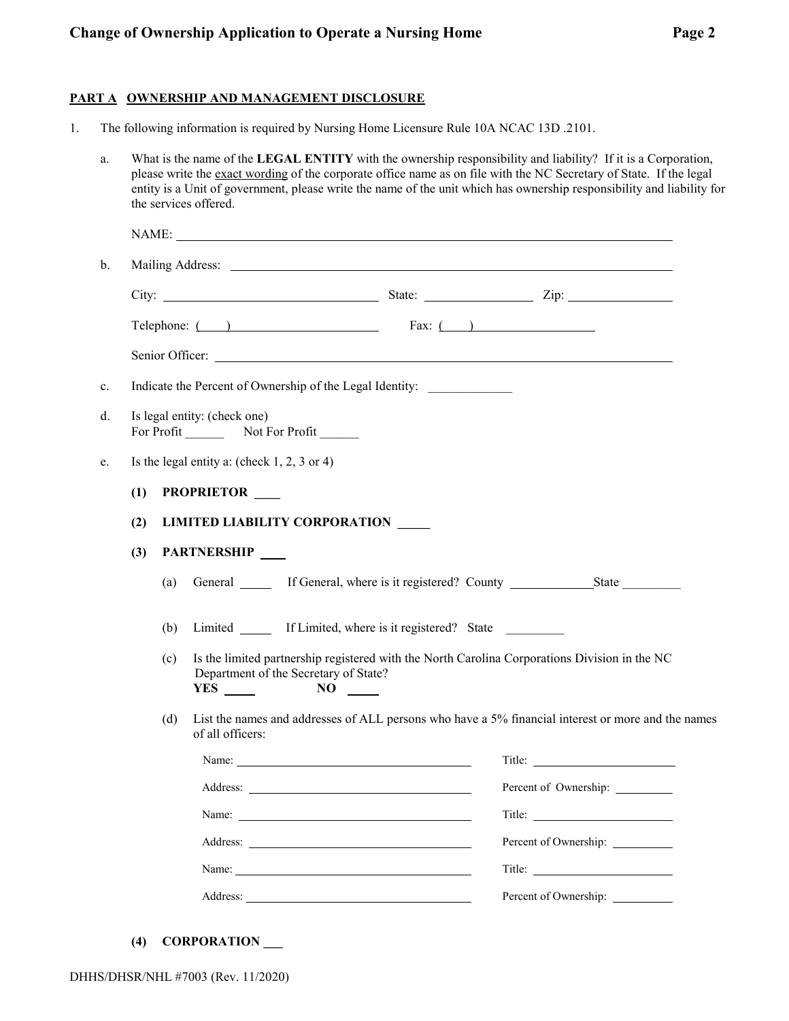### **Change of Ownership Application to Operate a Nursing Home Page 2** Page 2

### **PART A OWNERSHIP AND MANAGEMENT DISCLOSURE**

1. The following information is required by Nursing Home Licensure Rule 10A NCAC 13D .2101.

|     |                                               | the services offered.                 |                                                                                                                                                                                                                                | What is the name of the LEGAL ENTITY with the ownership responsibility and liability? If it is a Corporation,<br>please write the exact wording of the corporate office name as on file with the NC Secretary of State. If the legal<br>entity is a Unit of government, please write the name of the unit which has ownership responsibility and liability for |
|-----|-----------------------------------------------|---------------------------------------|--------------------------------------------------------------------------------------------------------------------------------------------------------------------------------------------------------------------------------|----------------------------------------------------------------------------------------------------------------------------------------------------------------------------------------------------------------------------------------------------------------------------------------------------------------------------------------------------------------|
|     |                                               |                                       |                                                                                                                                                                                                                                | NAME:                                                                                                                                                                                                                                                                                                                                                          |
|     |                                               |                                       |                                                                                                                                                                                                                                |                                                                                                                                                                                                                                                                                                                                                                |
|     |                                               |                                       |                                                                                                                                                                                                                                |                                                                                                                                                                                                                                                                                                                                                                |
|     |                                               |                                       | Telephone: $($ $)$ Fax: $($ $)$                                                                                                                                                                                                |                                                                                                                                                                                                                                                                                                                                                                |
|     |                                               |                                       |                                                                                                                                                                                                                                |                                                                                                                                                                                                                                                                                                                                                                |
|     |                                               |                                       | Indicate the Percent of Ownership of the Legal Identity:                                                                                                                                                                       |                                                                                                                                                                                                                                                                                                                                                                |
|     |                                               | Is legal entity: (check one)          |                                                                                                                                                                                                                                |                                                                                                                                                                                                                                                                                                                                                                |
|     |                                               |                                       |                                                                                                                                                                                                                                |                                                                                                                                                                                                                                                                                                                                                                |
|     | Is the legal entity a: (check $1, 2, 3$ or 4) |                                       |                                                                                                                                                                                                                                |                                                                                                                                                                                                                                                                                                                                                                |
| (1) |                                               | PROPRIETOR ____                       |                                                                                                                                                                                                                                |                                                                                                                                                                                                                                                                                                                                                                |
| (2) |                                               | <b>LIMITED LIABILITY CORPORATION</b>  |                                                                                                                                                                                                                                |                                                                                                                                                                                                                                                                                                                                                                |
| (3) |                                               | PARTNERSHIP                           |                                                                                                                                                                                                                                |                                                                                                                                                                                                                                                                                                                                                                |
|     | (a)                                           |                                       |                                                                                                                                                                                                                                | General <u>State</u> If General, where is it registered? County State                                                                                                                                                                                                                                                                                          |
|     | (b)                                           |                                       | Limited _______ If Limited, where is it registered? State                                                                                                                                                                      |                                                                                                                                                                                                                                                                                                                                                                |
|     | (c)                                           | Department of the Secretary of State? | $NO \t —$                                                                                                                                                                                                                      | Is the limited partnership registered with the North Carolina Corporations Division in the NC                                                                                                                                                                                                                                                                  |
|     | (d)                                           | of all officers:                      |                                                                                                                                                                                                                                | List the names and addresses of ALL persons who have a 5% financial interest or more and the names                                                                                                                                                                                                                                                             |
|     |                                               |                                       | Name:                                                                                                                                                                                                                          |                                                                                                                                                                                                                                                                                                                                                                |
|     |                                               |                                       |                                                                                                                                                                                                                                | Percent of Ownership: _________                                                                                                                                                                                                                                                                                                                                |
|     |                                               |                                       |                                                                                                                                                                                                                                |                                                                                                                                                                                                                                                                                                                                                                |
|     |                                               |                                       |                                                                                                                                                                                                                                |                                                                                                                                                                                                                                                                                                                                                                |
|     |                                               |                                       | Name: Name and the state of the state of the state of the state of the state of the state of the state of the state of the state of the state of the state of the state of the state of the state of the state of the state of |                                                                                                                                                                                                                                                                                                                                                                |
|     |                                               |                                       |                                                                                                                                                                                                                                |                                                                                                                                                                                                                                                                                                                                                                |

**(4) CORPORATION \_\_\_**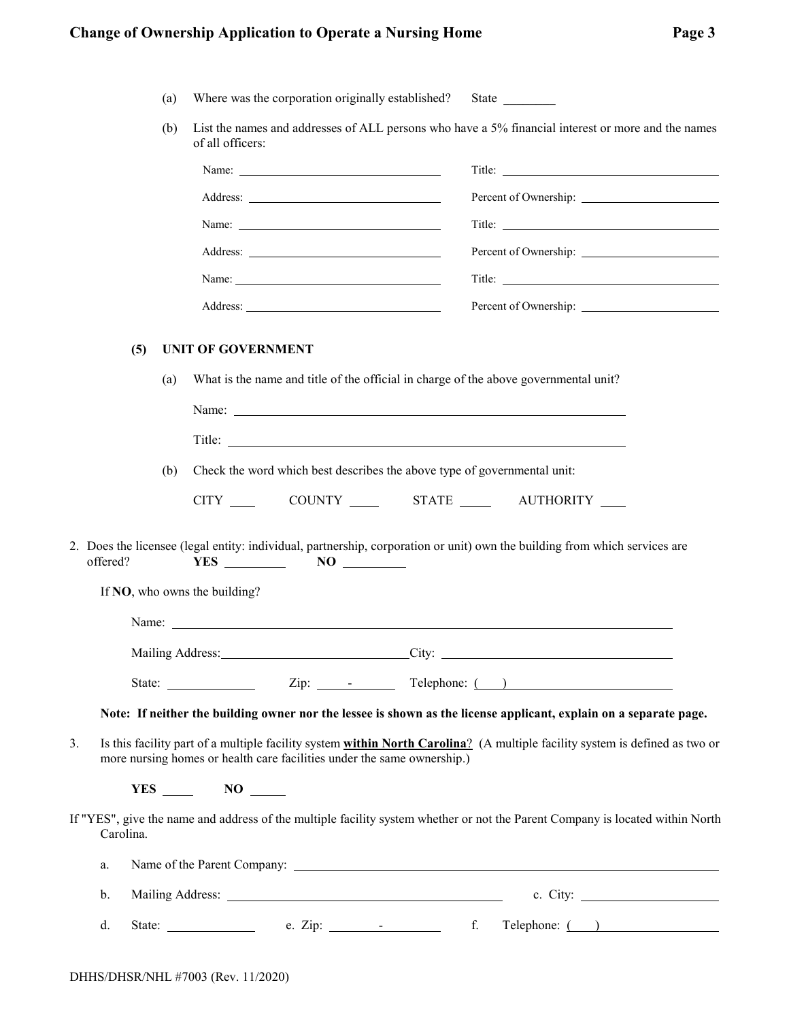# **Change of Ownership Application to Operate a Nursing Home 32 Change 32 Page 32**

| ï<br>٠, | 71 |
|---------|----|
|---------|----|

|                 | (a)        | Where was the corporation originally established? State                                                                                                                                                                                                                                               |                                                                                                                               |
|-----------------|------------|-------------------------------------------------------------------------------------------------------------------------------------------------------------------------------------------------------------------------------------------------------------------------------------------------------|-------------------------------------------------------------------------------------------------------------------------------|
|                 | (b)        | of all officers:                                                                                                                                                                                                                                                                                      | List the names and addresses of ALL persons who have a 5% financial interest or more and the names                            |
|                 |            |                                                                                                                                                                                                                                                                                                       |                                                                                                                               |
|                 |            |                                                                                                                                                                                                                                                                                                       |                                                                                                                               |
|                 |            |                                                                                                                                                                                                                                                                                                       |                                                                                                                               |
|                 |            |                                                                                                                                                                                                                                                                                                       |                                                                                                                               |
|                 |            |                                                                                                                                                                                                                                                                                                       |                                                                                                                               |
|                 |            |                                                                                                                                                                                                                                                                                                       |                                                                                                                               |
| (5)<br>offered? | (a)<br>(b) | <b>UNIT OF GOVERNMENT</b><br>What is the name and title of the official in charge of the above governmental unit?<br>Check the word which best describes the above type of governmental unit:<br>CITY _____ COUNTY ______ STATE ______ AUTHORITY ____<br>$YES$ NO NO<br>If NO, who owns the building? | 2. Does the licensee (legal entity: individual, partnership, corporation or unit) own the building from which services are    |
|                 |            |                                                                                                                                                                                                                                                                                                       | Mailing Address: City: City:                                                                                                  |
|                 |            |                                                                                                                                                                                                                                                                                                       |                                                                                                                               |
|                 |            |                                                                                                                                                                                                                                                                                                       | Note: If neither the building owner nor the lessee is shown as the license applicant, explain on a separate page.             |
| 3.              |            | more nursing homes or health care facilities under the same ownership.)                                                                                                                                                                                                                               | Is this facility part of a multiple facility system within North Carolina? (A multiple facility system is defined as two or   |
|                 |            | $YES$ NO                                                                                                                                                                                                                                                                                              |                                                                                                                               |
| Carolina.       |            |                                                                                                                                                                                                                                                                                                       | If "YES", give the name and address of the multiple facility system whether or not the Parent Company is located within North |
| a.              |            |                                                                                                                                                                                                                                                                                                       |                                                                                                                               |
| b.              |            |                                                                                                                                                                                                                                                                                                       |                                                                                                                               |
| d.              |            |                                                                                                                                                                                                                                                                                                       |                                                                                                                               |
|                 |            | DHHS/DHSR/NHL #7003 (Rev. 11/2020)                                                                                                                                                                                                                                                                    |                                                                                                                               |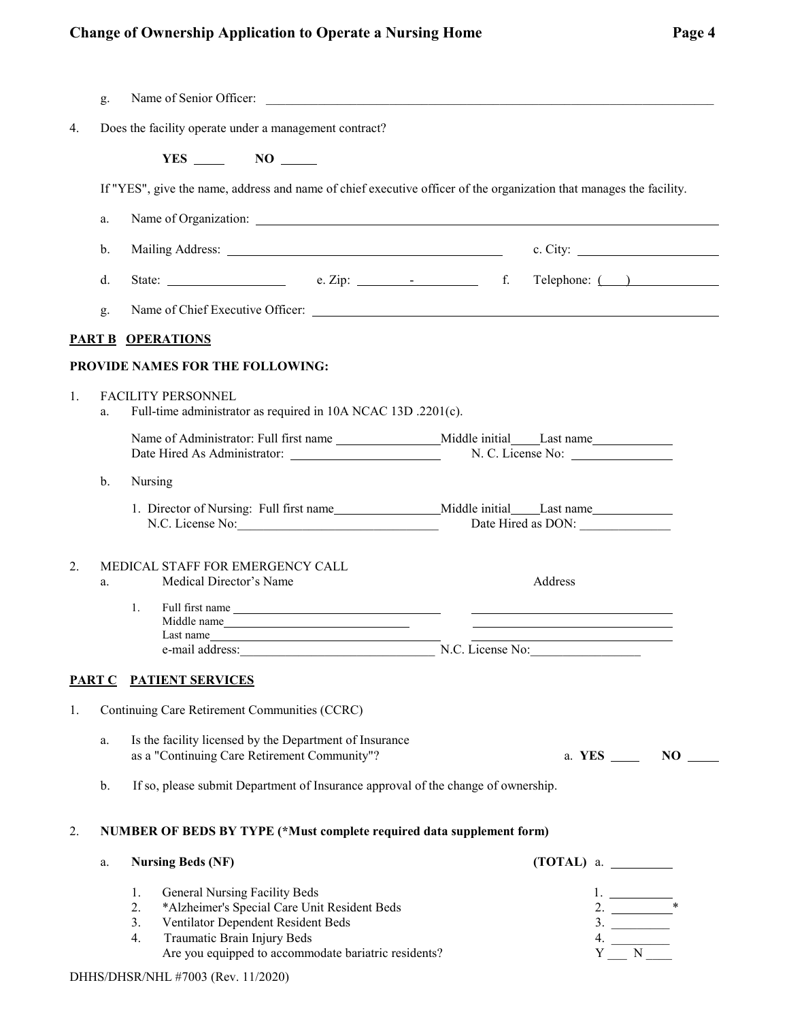## **Change of Ownership Application to Operate a Nursing Home Page 4** Page 4

|    | g. | Name of Senior Officer:<br><u> 1980 - Jan Barbara, margaret eta biztanleria (h. 1980).</u>                                                                                                                                                                                                                                                               |  |
|----|----|----------------------------------------------------------------------------------------------------------------------------------------------------------------------------------------------------------------------------------------------------------------------------------------------------------------------------------------------------------|--|
| 4. |    | Does the facility operate under a management contract?                                                                                                                                                                                                                                                                                                   |  |
|    |    | $YES$ NO $\qquad$                                                                                                                                                                                                                                                                                                                                        |  |
|    |    | If "YES", give the name, address and name of chief executive officer of the organization that manages the facility.                                                                                                                                                                                                                                      |  |
|    | a. |                                                                                                                                                                                                                                                                                                                                                          |  |
|    | b. |                                                                                                                                                                                                                                                                                                                                                          |  |
|    | d. |                                                                                                                                                                                                                                                                                                                                                          |  |
|    | g. |                                                                                                                                                                                                                                                                                                                                                          |  |
|    |    | <b>PART B OPERATIONS</b>                                                                                                                                                                                                                                                                                                                                 |  |
|    |    | PROVIDE NAMES FOR THE FOLLOWING:                                                                                                                                                                                                                                                                                                                         |  |
| 1. | a. | <b>FACILITY PERSONNEL</b><br>Full-time administrator as required in 10A NCAC 13D .2201(c).                                                                                                                                                                                                                                                               |  |
|    |    |                                                                                                                                                                                                                                                                                                                                                          |  |
|    | b. | Nursing                                                                                                                                                                                                                                                                                                                                                  |  |
|    |    | N.C. License No:<br>Date Hired as DON:                                                                                                                                                                                                                                                                                                                   |  |
| 2. | a. | MEDICAL STAFF FOR EMERGENCY CALL<br>Medical Director's Name<br>Address                                                                                                                                                                                                                                                                                   |  |
|    |    | 1.<br>Full first name<br>Middle name<br>Last name<br>the contract of the contract of the contract of the contract of the                                                                                                                                                                                                                                 |  |
|    |    | e-mail address: N.C. License No:                                                                                                                                                                                                                                                                                                                         |  |
|    |    | PART C PATIENT SERVICES                                                                                                                                                                                                                                                                                                                                  |  |
| 1. |    | Continuing Care Retirement Communities (CCRC)                                                                                                                                                                                                                                                                                                            |  |
|    | a. | Is the facility licensed by the Department of Insurance<br>as a "Continuing Care Retirement Community"?<br>a. YES ______ NO _____                                                                                                                                                                                                                        |  |
|    | b. | If so, please submit Department of Insurance approval of the change of ownership.                                                                                                                                                                                                                                                                        |  |
| 2. |    | NUMBER OF BEDS BY TYPE (*Must complete required data supplement form)                                                                                                                                                                                                                                                                                    |  |
|    | a. | $(TOTAL)$ a. $\_\_$<br><b>Nursing Beds (NF)</b>                                                                                                                                                                                                                                                                                                          |  |
|    |    | 1.<br>General Nursing Facility Beds<br>$\frac{1}{2}$ . $\frac{1}{2}$<br>2.<br>*Alzheimer's Special Care Unit Resident Beds<br>3.<br>Ventilator Dependent Resident Beds<br>$\begin{array}{c}\n3. \\ 4. \\ Y \longrightarrow N \longrightarrow \n\end{array}$<br>Traumatic Brain Injury Beds<br>4.<br>Are you equipped to accommodate bariatric residents? |  |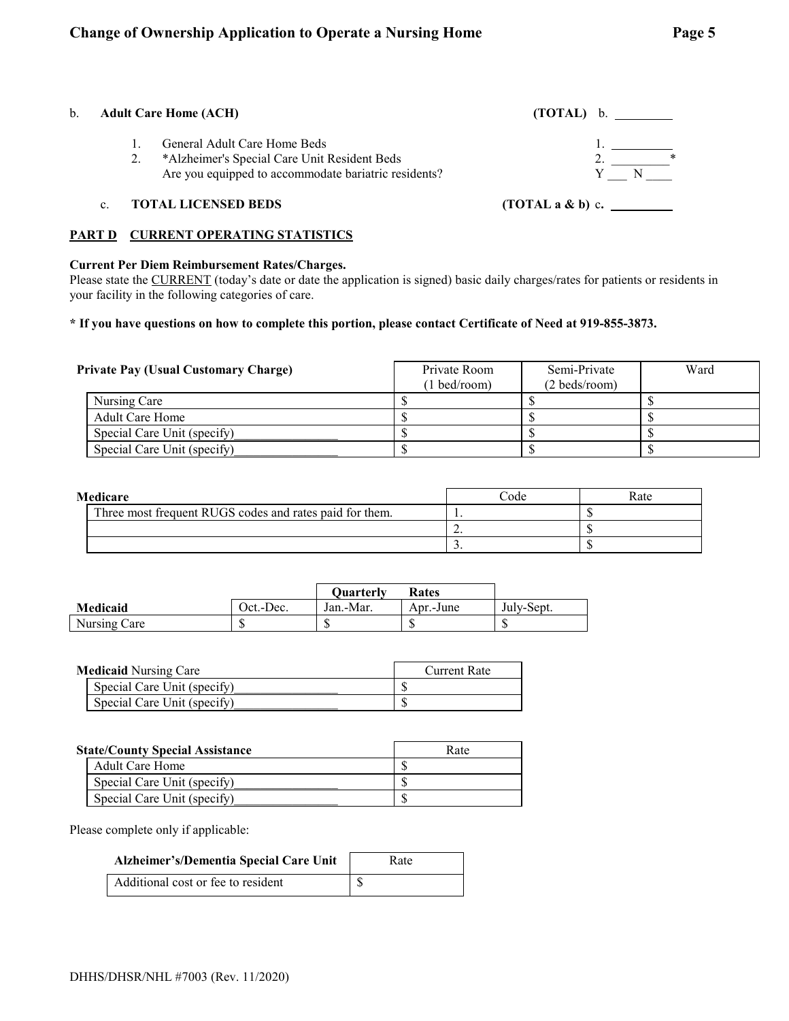| b. | <b>Adult Care Home (ACH)</b>                                                                                                         | (TOTAL) b.       |  |
|----|--------------------------------------------------------------------------------------------------------------------------------------|------------------|--|
|    | General Adult Care Home Beds<br>*Alzheimer's Special Care Unit Resident Beds<br>Are you equipped to accommodate bariatric residents? |                  |  |
|    | <b>TOTAL LICENSED BEDS</b>                                                                                                           | (TOTAL a & b) c. |  |

### **PART D CURRENT OPERATING STATISTICS**

### **Current Per Diem Reimbursement Rates/Charges.**

Please state the CURRENT (today's date or date the application is signed) basic daily charges/rates for patients or residents in your facility in the following categories of care.

### **\* If you have questions on how to complete this portion, please contact Certificate of Need at 919-855-3873.**

| <b>Private Pay (Usual Customary Charge)</b> | Private Room<br>(1 bed/room) | Semi-Private<br>$(2 \text{ beds/room})$ | Ward |
|---------------------------------------------|------------------------------|-----------------------------------------|------|
| Nursing Care                                |                              |                                         |      |
| Adult Care Home                             |                              |                                         |      |
| Special Care Unit (specify)                 |                              |                                         |      |
| Special Care Unit (specify)                 |                              |                                         |      |

| Medicare |                                                         | Code     | Rate |
|----------|---------------------------------------------------------|----------|------|
|          | Three most frequent RUGS codes and rates paid for them. |          |      |
|          |                                                         | <u>.</u> |      |
|          |                                                         | . ب      |      |

|              |           | Ouarterly | Rates     |            |
|--------------|-----------|-----------|-----------|------------|
| Medicaid     | Oct.-Dec. | Jan.-Mar. | Apr.-June | July-Sept. |
| Nursing Care |           |           |           |            |

| <b>Medicaid Nursing Care</b> |                             | Current Rate |
|------------------------------|-----------------------------|--------------|
|                              | Special Care Unit (specify) |              |
|                              | Special Care Unit (specify) |              |

| <b>State/County Special Assistance</b> |                             | Rate |
|----------------------------------------|-----------------------------|------|
|                                        | Adult Care Home             |      |
|                                        | Special Care Unit (specify) |      |
|                                        | Special Care Unit (specify) |      |

Please complete only if applicable:

| Alzheimer's/Dementia Special Care Unit | Rate |
|----------------------------------------|------|
| Additional cost or fee to resident     |      |